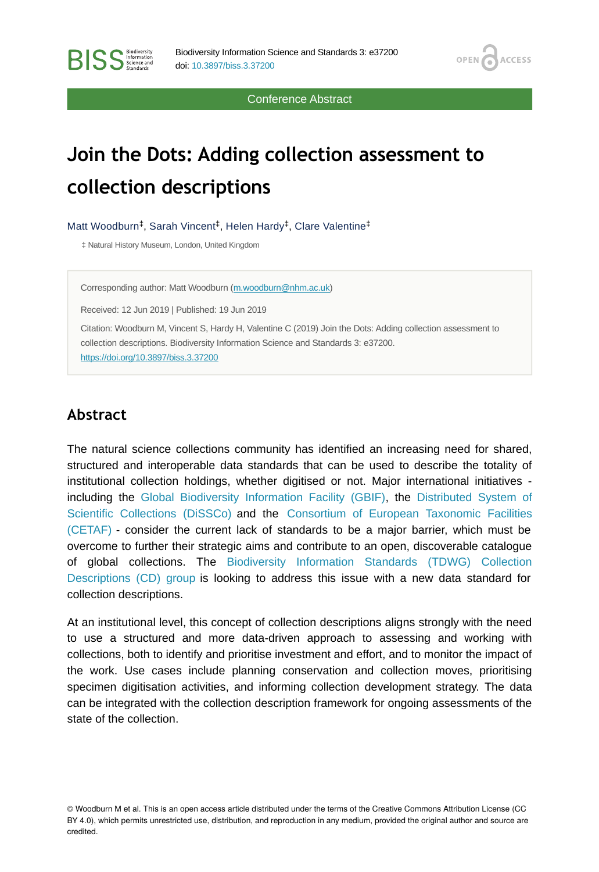Conference Abstract

OPEN<sub>C</sub>

**ACCESS** 

# **Join the Dots: Adding collection assessment to collection descriptions**

Matt Woodburn<sup>‡</sup>, Sarah Vincent<sup>‡</sup>, Helen Hardy<sup>‡</sup>, Clare Valentine<sup>‡</sup>

‡ Natural History Museum, London, United Kingdom

Corresponding author: Matt Woodburn [\(m.woodburn@nhm.ac.uk](mailto:m.woodburn@nhm.ac.uk))

Received: 12 Jun 2019 | Published: 19 Jun 2019

Citation: Woodburn M, Vincent S, Hardy H, Valentine C (2019) Join the Dots: Adding collection assessment to collection descriptions. Biodiversity Information Science and Standards 3: e37200. <https://doi.org/10.3897/biss.3.37200>

#### **Abstract**

**BISS** Steince and

The natural science collections community has identified an increasing need for shared, structured and interoperable data standards that can be used to describe the totality of institutional collection holdings, whether digitised or not. Major international initiatives including the [Global Biodiversity Information Facility \(GBIF\),](https://www.gbif.org/) the [Distributed System of](https://dissco.eu/) [Scientific Collections \(DiSSCo\)](https://dissco.eu/) and the [Consortium of European Taxonomic Facilities](https://cetaf.org/) [\(CETAF\)](https://cetaf.org/) - consider the current lack of standards to be a major barrier, which must be overcome to further their strategic aims and contribute to an open, discoverable catalogue of global collections. The [Biodiversity Information Standards \(TDWG\) Collection](https://www.tdwg.org/community/cd/) [Descriptions \(CD\) group](https://www.tdwg.org/community/cd/) is looking to address this issue with a new data standard for collection descriptions.

At an institutional level, this concept of collection descriptions aligns strongly with the need to use a structured and more data-driven approach to assessing and working with collections, both to identify and prioritise investment and effort, and to monitor the impact of the work. Use cases include planning conservation and collection moves, prioritising specimen digitisation activities, and informing collection development strategy. The data can be integrated with the collection description framework for ongoing assessments of the state of the collection.

© Woodburn M et al. This is an open access article distributed under the terms of the Creative Commons Attribution License (CC BY 4.0), which permits unrestricted use, distribution, and reproduction in any medium, provided the original author and source are credited.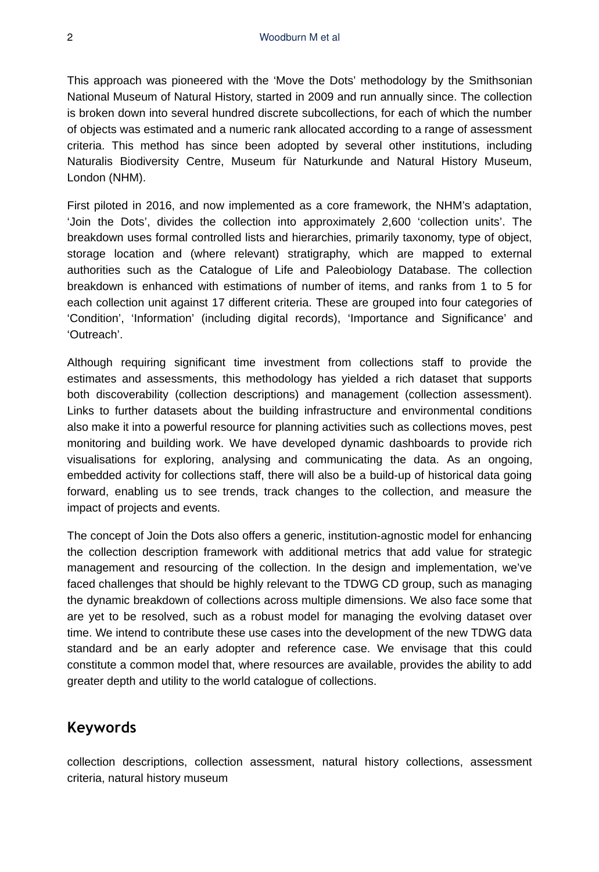This approach was pioneered with the 'Move the Dots' methodology by the Smithsonian National Museum of Natural History, started in 2009 and run annually since. The collection is broken down into several hundred discrete subcollections, for each of which the number of objects was estimated and a numeric rank allocated according to a range of assessment criteria. This method has since been adopted by several other institutions, including Naturalis Biodiversity Centre, Museum für Naturkunde and Natural History Museum, London (NHM).

First piloted in 2016, and now implemented as a core framework, the NHM's adaptation, 'Join the Dots', divides the collection into approximately 2,600 'collection units'. The breakdown uses formal controlled lists and hierarchies, primarily taxonomy, type of object, storage location and (where relevant) stratigraphy, which are mapped to external authorities such as the Catalogue of Life and Paleobiology Database. The collection breakdown is enhanced with estimations of number of items, and ranks from 1 to 5 for each collection unit against 17 different criteria. These are grouped into four categories of 'Condition', 'Information' (including digital records), 'Importance and Significance' and 'Outreach'.

Although requiring significant time investment from collections staff to provide the estimates and assessments, this methodology has yielded a rich dataset that supports both discoverability (collection descriptions) and management (collection assessment). Links to further datasets about the building infrastructure and environmental conditions also make it into a powerful resource for planning activities such as collections moves, pest monitoring and building work. We have developed dynamic dashboards to provide rich visualisations for exploring, analysing and communicating the data. As an ongoing, embedded activity for collections staff, there will also be a build-up of historical data going forward, enabling us to see trends, track changes to the collection, and measure the impact of projects and events.

The concept of Join the Dots also offers a generic, institution-agnostic model for enhancing the collection description framework with additional metrics that add value for strategic management and resourcing of the collection. In the design and implementation, we've faced challenges that should be highly relevant to the TDWG CD group, such as managing the dynamic breakdown of collections across multiple dimensions. We also face some that are yet to be resolved, such as a robust model for managing the evolving dataset over time. We intend to contribute these use cases into the development of the new TDWG data standard and be an early adopter and reference case. We envisage that this could constitute a common model that, where resources are available, provides the ability to add greater depth and utility to the world catalogue of collections.

#### **Keywords**

collection descriptions, collection assessment, natural history collections, assessment criteria, natural history museum